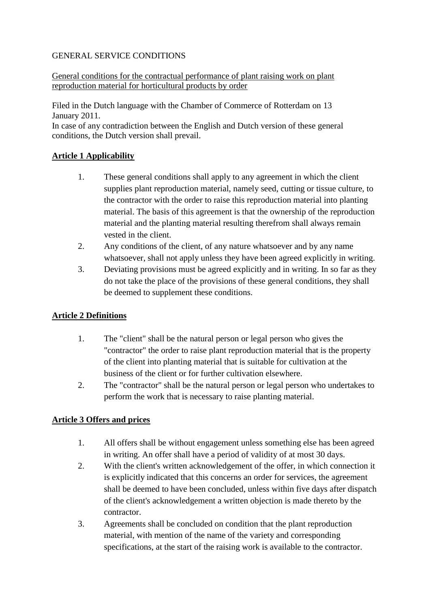#### GENERAL SERVICE CONDITIONS

#### General conditions for the contractual performance of plant raising work on plant reproduction material for horticultural products by order

Filed in the Dutch language with the Chamber of Commerce of Rotterdam on 13 January 2011.

In case of any contradiction between the English and Dutch version of these general conditions, the Dutch version shall prevail.

# **Article 1 Applicability**

- 1. These general conditions shall apply to any agreement in which the client supplies plant reproduction material, namely seed, cutting or tissue culture, to the contractor with the order to raise this reproduction material into planting material. The basis of this agreement is that the ownership of the reproduction material and the planting material resulting therefrom shall always remain vested in the client.
- 2. Any conditions of the client, of any nature whatsoever and by any name whatsoever, shall not apply unless they have been agreed explicitly in writing.
- 3. Deviating provisions must be agreed explicitly and in writing. In so far as they do not take the place of the provisions of these general conditions, they shall be deemed to supplement these conditions.

# **Article 2 Definitions**

- 1. The "client" shall be the natural person or legal person who gives the "contractor" the order to raise plant reproduction material that is the property of the client into planting material that is suitable for cultivation at the business of the client or for further cultivation elsewhere.
- 2. The "contractor" shall be the natural person or legal person who undertakes to perform the work that is necessary to raise planting material.

# **Article 3 Offers and prices**

- 1. All offers shall be without engagement unless something else has been agreed in writing. An offer shall have a period of validity of at most 30 days.
- 2. With the client's written acknowledgement of the offer, in which connection it is explicitly indicated that this concerns an order for services, the agreement shall be deemed to have been concluded, unless within five days after dispatch of the client's acknowledgement a written objection is made thereto by the contractor.
- 3. Agreements shall be concluded on condition that the plant reproduction material, with mention of the name of the variety and corresponding specifications, at the start of the raising work is available to the contractor.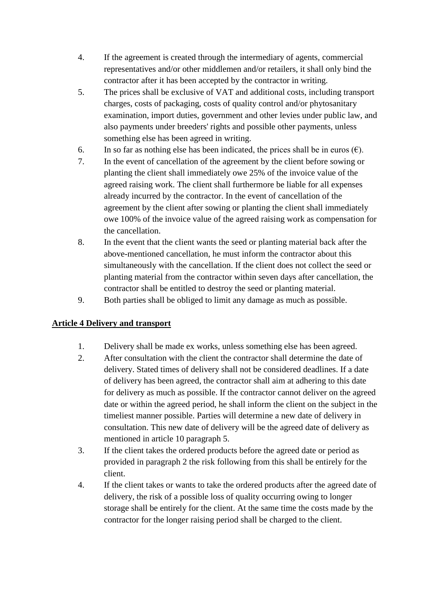- 4. If the agreement is created through the intermediary of agents, commercial representatives and/or other middlemen and/or retailers, it shall only bind the contractor after it has been accepted by the contractor in writing.
- 5. The prices shall be exclusive of VAT and additional costs, including transport charges, costs of packaging, costs of quality control and/or phytosanitary examination, import duties, government and other levies under public law, and also payments under breeders' rights and possible other payments, unless something else has been agreed in writing.
- 6. In so far as nothing else has been indicated, the prices shall be in euros  $(\epsilon)$ .
- 7. In the event of cancellation of the agreement by the client before sowing or planting the client shall immediately owe 25% of the invoice value of the agreed raising work. The client shall furthermore be liable for all expenses already incurred by the contractor. In the event of cancellation of the agreement by the client after sowing or planting the client shall immediately owe 100% of the invoice value of the agreed raising work as compensation for the cancellation.
- 8. In the event that the client wants the seed or planting material back after the above-mentioned cancellation, he must inform the contractor about this simultaneously with the cancellation. If the client does not collect the seed or planting material from the contractor within seven days after cancellation, the contractor shall be entitled to destroy the seed or planting material.
- 9. Both parties shall be obliged to limit any damage as much as possible.

# **Article 4 Delivery and transport**

- 1. Delivery shall be made ex works, unless something else has been agreed.
- 2. After consultation with the client the contractor shall determine the date of delivery. Stated times of delivery shall not be considered deadlines. If a date of delivery has been agreed, the contractor shall aim at adhering to this date for delivery as much as possible. If the contractor cannot deliver on the agreed date or within the agreed period, he shall inform the client on the subject in the timeliest manner possible. Parties will determine a new date of delivery in consultation. This new date of delivery will be the agreed date of delivery as mentioned in article 10 paragraph 5.
- 3. If the client takes the ordered products before the agreed date or period as provided in paragraph 2 the risk following from this shall be entirely for the client.
- 4. If the client takes or wants to take the ordered products after the agreed date of delivery, the risk of a possible loss of quality occurring owing to longer storage shall be entirely for the client. At the same time the costs made by the contractor for the longer raising period shall be charged to the client.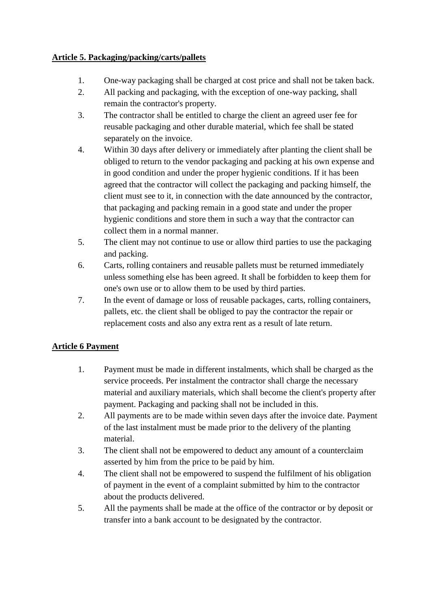#### **Article 5. Packaging/packing/carts/pallets**

- 1. One-way packaging shall be charged at cost price and shall not be taken back.
- 2. All packing and packaging, with the exception of one-way packing, shall remain the contractor's property.
- 3. The contractor shall be entitled to charge the client an agreed user fee for reusable packaging and other durable material, which fee shall be stated separately on the invoice.
- 4. Within 30 days after delivery or immediately after planting the client shall be obliged to return to the vendor packaging and packing at his own expense and in good condition and under the proper hygienic conditions. If it has been agreed that the contractor will collect the packaging and packing himself, the client must see to it, in connection with the date announced by the contractor, that packaging and packing remain in a good state and under the proper hygienic conditions and store them in such a way that the contractor can collect them in a normal manner.
- 5. The client may not continue to use or allow third parties to use the packaging and packing.
- 6. Carts, rolling containers and reusable pallets must be returned immediately unless something else has been agreed. It shall be forbidden to keep them for one's own use or to allow them to be used by third parties.
- 7. In the event of damage or loss of reusable packages, carts, rolling containers, pallets, etc. the client shall be obliged to pay the contractor the repair or replacement costs and also any extra rent as a result of late return.

# **Article 6 Payment**

- 1. Payment must be made in different instalments, which shall be charged as the service proceeds. Per instalment the contractor shall charge the necessary material and auxiliary materials, which shall become the client's property after payment. Packaging and packing shall not be included in this.
- 2. All payments are to be made within seven days after the invoice date. Payment of the last instalment must be made prior to the delivery of the planting material.
- 3. The client shall not be empowered to deduct any amount of a counterclaim asserted by him from the price to be paid by him.
- 4. The client shall not be empowered to suspend the fulfilment of his obligation of payment in the event of a complaint submitted by him to the contractor about the products delivered.
- 5. All the payments shall be made at the office of the contractor or by deposit or transfer into a bank account to be designated by the contractor.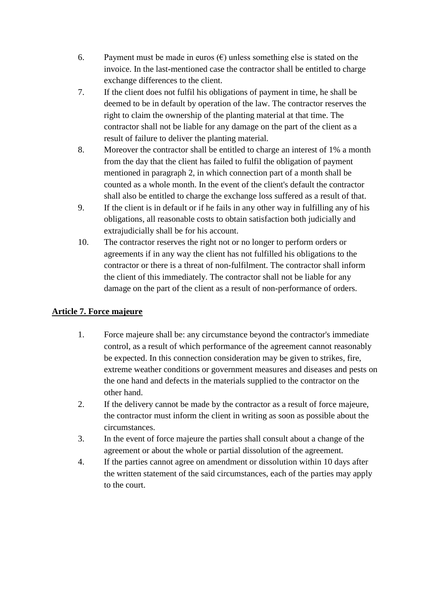- 6. Payment must be made in euros  $(\epsilon)$  unless something else is stated on the invoice. In the last-mentioned case the contractor shall be entitled to charge exchange differences to the client.
- 7. If the client does not fulfil his obligations of payment in time, he shall be deemed to be in default by operation of the law. The contractor reserves the right to claim the ownership of the planting material at that time. The contractor shall not be liable for any damage on the part of the client as a result of failure to deliver the planting material.
- 8. Moreover the contractor shall be entitled to charge an interest of 1% a month from the day that the client has failed to fulfil the obligation of payment mentioned in paragraph 2, in which connection part of a month shall be counted as a whole month. In the event of the client's default the contractor shall also be entitled to charge the exchange loss suffered as a result of that.
- 9. If the client is in default or if he fails in any other way in fulfilling any of his obligations, all reasonable costs to obtain satisfaction both judicially and extrajudicially shall be for his account.
- 10. The contractor reserves the right not or no longer to perform orders or agreements if in any way the client has not fulfilled his obligations to the contractor or there is a threat of non-fulfilment. The contractor shall inform the client of this immediately. The contractor shall not be liable for any damage on the part of the client as a result of non-performance of orders.

# **Article 7. Force majeure**

- 1. Force majeure shall be: any circumstance beyond the contractor's immediate control, as a result of which performance of the agreement cannot reasonably be expected. In this connection consideration may be given to strikes, fire, extreme weather conditions or government measures and diseases and pests on the one hand and defects in the materials supplied to the contractor on the other hand.
- 2. If the delivery cannot be made by the contractor as a result of force majeure, the contractor must inform the client in writing as soon as possible about the circumstances.
- 3. In the event of force majeure the parties shall consult about a change of the agreement or about the whole or partial dissolution of the agreement.
- 4. If the parties cannot agree on amendment or dissolution within 10 days after the written statement of the said circumstances, each of the parties may apply to the court.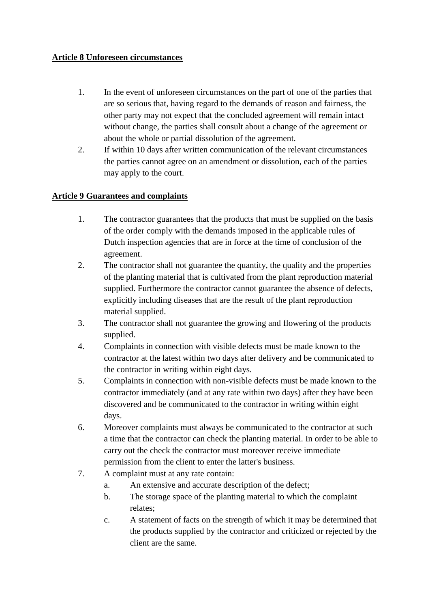#### **Article 8 Unforeseen circumstances**

- 1. In the event of unforeseen circumstances on the part of one of the parties that are so serious that, having regard to the demands of reason and fairness, the other party may not expect that the concluded agreement will remain intact without change, the parties shall consult about a change of the agreement or about the whole or partial dissolution of the agreement.
- 2. If within 10 days after written communication of the relevant circumstances the parties cannot agree on an amendment or dissolution, each of the parties may apply to the court.

# **Article 9 Guarantees and complaints**

- 1. The contractor guarantees that the products that must be supplied on the basis of the order comply with the demands imposed in the applicable rules of Dutch inspection agencies that are in force at the time of conclusion of the agreement.
- 2. The contractor shall not guarantee the quantity, the quality and the properties of the planting material that is cultivated from the plant reproduction material supplied. Furthermore the contractor cannot guarantee the absence of defects, explicitly including diseases that are the result of the plant reproduction material supplied.
- 3. The contractor shall not guarantee the growing and flowering of the products supplied.
- 4. Complaints in connection with visible defects must be made known to the contractor at the latest within two days after delivery and be communicated to the contractor in writing within eight days.
- 5. Complaints in connection with non-visible defects must be made known to the contractor immediately (and at any rate within two days) after they have been discovered and be communicated to the contractor in writing within eight days.
- 6. Moreover complaints must always be communicated to the contractor at such a time that the contractor can check the planting material. In order to be able to carry out the check the contractor must moreover receive immediate permission from the client to enter the latter's business.
- 7. A complaint must at any rate contain:
	- a. An extensive and accurate description of the defect;
	- b. The storage space of the planting material to which the complaint relates;
	- c. A statement of facts on the strength of which it may be determined that the products supplied by the contractor and criticized or rejected by the client are the same.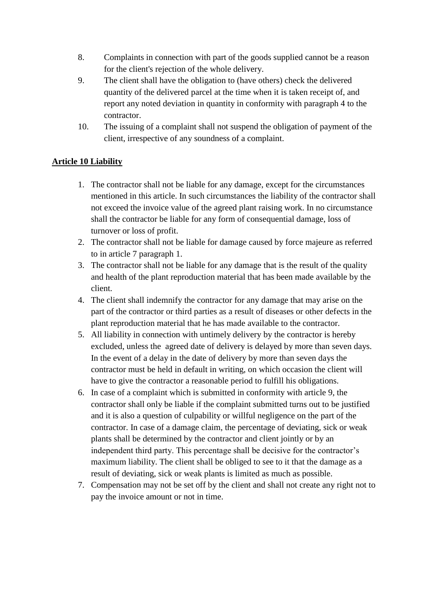- 8. Complaints in connection with part of the goods supplied cannot be a reason for the client's rejection of the whole delivery.
- 9. The client shall have the obligation to (have others) check the delivered quantity of the delivered parcel at the time when it is taken receipt of, and report any noted deviation in quantity in conformity with paragraph 4 to the contractor.
- 10. The issuing of a complaint shall not suspend the obligation of payment of the client, irrespective of any soundness of a complaint.

# **Article 10 Liability**

- 1. The contractor shall not be liable for any damage, except for the circumstances mentioned in this article. In such circumstances the liability of the contractor shall not exceed the invoice value of the agreed plant raising work. In no circumstance shall the contractor be liable for any form of consequential damage, loss of turnover or loss of profit.
- 2. The contractor shall not be liable for damage caused by force majeure as referred to in article 7 paragraph 1.
- 3. The contractor shall not be liable for any damage that is the result of the quality and health of the plant reproduction material that has been made available by the client.
- 4. The client shall indemnify the contractor for any damage that may arise on the part of the contractor or third parties as a result of diseases or other defects in the plant reproduction material that he has made available to the contractor.
- 5. All liability in connection with untimely delivery by the contractor is hereby excluded, unless the agreed date of delivery is delayed by more than seven days. In the event of a delay in the date of delivery by more than seven days the contractor must be held in default in writing, on which occasion the client will have to give the contractor a reasonable period to fulfill his obligations.
- 6. In case of a complaint which is submitted in conformity with article 9, the contractor shall only be liable if the complaint submitted turns out to be justified and it is also a question of culpability or willful negligence on the part of the contractor. In case of a damage claim, the percentage of deviating, sick or weak plants shall be determined by the contractor and client jointly or by an independent third party. This percentage shall be decisive for the contractor's maximum liability. The client shall be obliged to see to it that the damage as a result of deviating, sick or weak plants is limited as much as possible.
- 7. Compensation may not be set off by the client and shall not create any right not to pay the invoice amount or not in time.